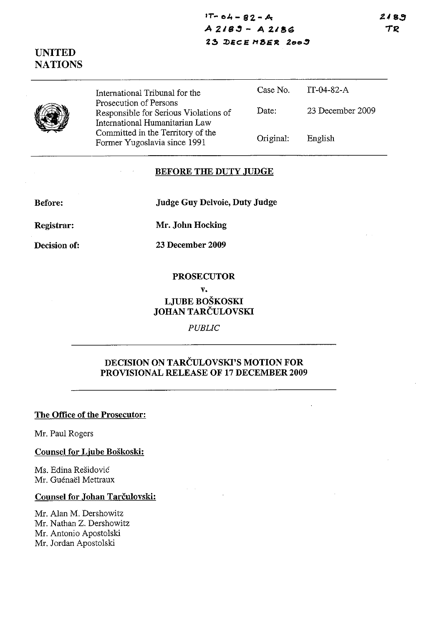**17"- 01., - El2 - A**  *A 219"* **- A** 2.I8~ 2~ **J)IIC:E** MaE~ *20."*  2189 TR

# **UNITED NATIONS**



International Tribunal for the Prosecution of Persons Responsible for Serious Violations of International Humanitarian Law Committed in the Territory of the Former Yugoslavia since 1991

| Case No   | IT-04-82-A       |
|-----------|------------------|
| Date:     | 23 December 2009 |
| Original: | English          |

#### **BEFORE THE DUTY JUDGE**

**Before:** 

**Judge Guy Delvoie, Duty Judge** 

**Registrar:** 

**Decision of:** 

**23 December 2009** 

**Mr. John Hocking** 

#### **PROSECUTOR**

#### **v.**

# **LJUBE BOSKOSKI JOHAN TARCULOVSKI**

*PUBLIC* 

# **DECISION ON TARCULOVSKI'S MOTION FOR PROVISIONAL RELEASE OF 17 DECEMBER 2009**

### **The Office of the Prosecutor:**

Mr. Paul Rogers

#### **Counsel for Ljube Boskoski:**

Ms. Edina Residovic Mr. Guénaël Mettraux

### **Counsel for Johan Tarčulovski:**

Mr. Alan M. Dershowitz Mr. Nathan Z. Dershowitz Mr. Antonio Apostolski Mr. Jordan Apostolski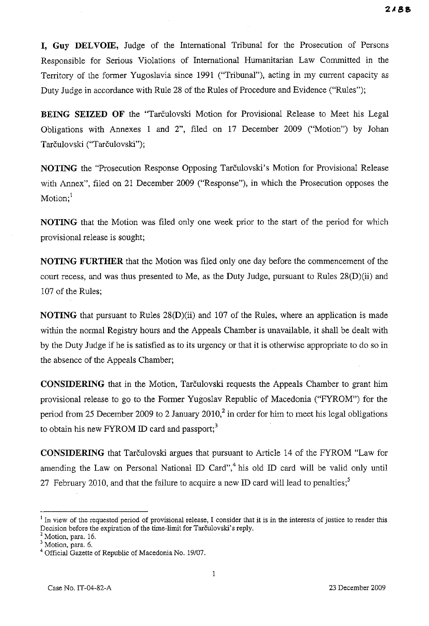**I, Guy DEL VOlE,** Judge of the International Tribunal for the Prosecution of Persons Responsible for Serious Violations of International Humanitarian Law Committed in the Territory of the former Yugoslavia since 1991 ("Tribunal"), acting in my current capacity as Duty Judge in accordance with Rule 28 of the Rules of Procedure and Evidence ("Rules");

**BEING SEIZED OF** the "Tarculovski Motion for Provisional Release to Meet his Legal Obligations with Annexes 1 and 2", filed on 17 December 2009 ("Motion") by Johan Tarčulovski ("Tarčulovski");

**NOTING** the "Prosecution Response Opposing Tarčulovski's Motion for Provisional Release with Annex", filed on 21 December 2009 ("Response"), in which the Prosecution opposes the Motion:<sup>1</sup>

**NOTING** that the Motion was filed only one week prior to the start of the period for which provisional release is sought;

**NOTING FURTHER** that the Motion was filed only one day before the commencement of the court recess, and was thus presented to Me, as the Duty Judge, pursuant to Rules 28(D)(ii) and 107 of the Rules;

**NOTING** that pursuant to Rules 28(D)(ii) and 107 of the Rules, where an application is made within the normal Registry hours and the Appeals Chamber is unavailable, it shall be dealt with by the Duty Judge if he is satisfied as to its urgency or that it is otherwise appropriate to do so in the absence of the Appeals Chamber;

**CONSIDERING** that in the Motion, Tarčulovski requests the Appeals Chamber to grant him provisional release to go to the Former Yugoslav Republic of Macedonia ("FYROM") for the period from 25 December 2009 to 2 January 2010,<sup>2</sup> in order for him to meet his legal obligations to obtain his new FYROM ID card and passport;<sup>3</sup>

**CONSIDERING** that Tarculovski argues that pursuant to Article 14 of the FYROM "Law for amending the Law on Personal National ID Card",<sup>4</sup> his old ID card will be valid only until 27 February 2010, and that the failure to acquire a new ID card will lead to penalties;<sup>5</sup>

<sup>&</sup>lt;sup>1</sup> In view of the requested period of provisional release, I consider that it is in the interests of justice to render this Decision before the expiration of the time-limit for Tarčulovski's reply.

 $<sup>2</sup>$  Motion, para. 16.</sup>

<sup>&</sup>lt;sup>3</sup> Motion, para. 6.

<sup>4</sup> Official Gazette of Republic of Macedonia No. *19/07.*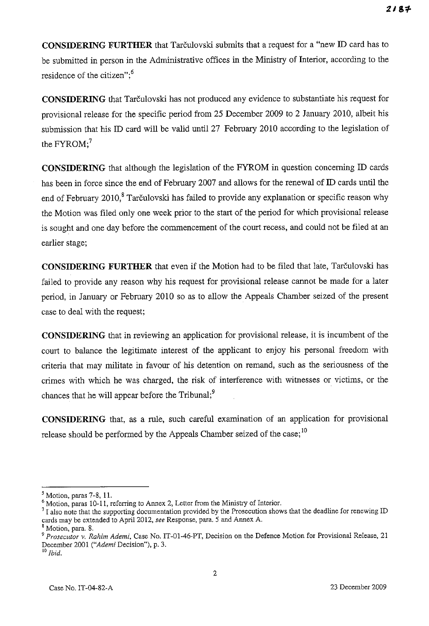**CONSIDERING FURTHER** that Tarculovski submits that a request for a "new ID card has to be submitted in person in the Administrative offices in the Ministry of Interior, according to the residence of the citizen"; $<sup>6</sup>$ </sup>

**CONSIDERING** that Tarculovski has not produced any evidence to substantiate his request for provisional release for the specific period from 25 December 2009 to 2 January 2010, albeit his submission that his ID card will be valid until 27 February 2010 according to the legislation of the  $FYROM:$ <sup>7</sup>

**CONSIDERING** that although the legislation of the FYROM in question concerning ID cards has been in force since the end of February 2007 and allows for the renewal of ID cards until the end of February 2010,<sup>8</sup> Tarčulovski has failed to provide any explanation or specific reason why the Motion was filed only one week prior to the start of the period for which provisional release is sought and one day before the commencement of the court recess, and could not be filed at an earlier stage;

**CONSIDERING FURTHER** that even if the Motion had to be filed that late, Tarčulovski has failed to provide any reason why his request for provisional release cannot be made for a later period, in January or February 2010 so as to allow the Appeals Chamber seized of the present case to deal with the request;

**CONSIDERING** that in reviewing an application for provisional release, it is incumbent of the court to balance the legitimate interest of the applicant to enjoy his personal freedom with criteria that may militate in favour of his detention on remand, such as the seriousness of the crimes with which he was charged, the risk of interference with witnesses or victims, or the chances that he will appear before the Tribunal; $<sup>9</sup>$ </sup>

**CONSIDERING** that, as a rule, such careful examination of an application for provisional release should be performed by the Appeals Chamber seized of the case;<sup>10</sup>

 $<sup>5</sup>$  Motion, paras 7-8, 11.</sup>

<sup>&</sup>lt;sup>6</sup> Motion, paras 10-11, referring to Annex 2, Letter from the Ministry of Interior.

 $1/7$  also note that the supporting documentation provided by the Prosecution shows that the deadline for renewing ID cards may be extended to April 2012, *see* Response, para. 5 and Annex A.

<sup>&</sup>lt;sup>8</sup> Motion, para. 8.

<sup>&</sup>lt;sup>9</sup> Prosecutor v. Rahim Ademi, Case No. IT-01-46-PT, Decision on the Defence Motion for Provisional Release, 21 December 2001 *("Ademi* Decision"), p. 3.

JO *Ibid.*